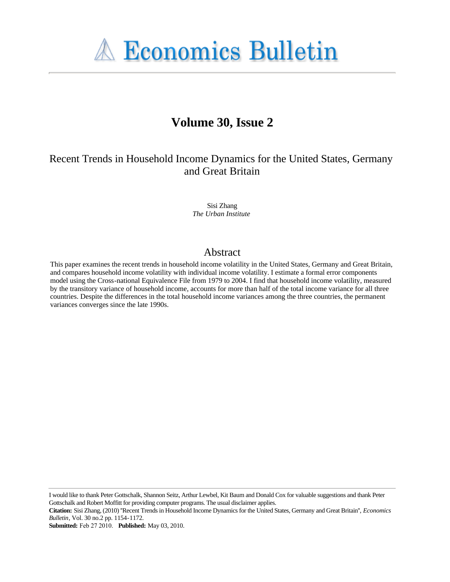

# **Volume 30, Issue 2**

# Recent Trends in Household Income Dynamics for the United States, Germany and Great Britain

Sisi Zhang *The Urban Institute*

# Abstract

This paper examines the recent trends in household income volatility in the United States, Germany and Great Britain, and compares household income volatility with individual income volatility. I estimate a formal error components model using the Cross-national Equivalence File from 1979 to 2004. I find that household income volatility, measured by the transitory variance of household income, accounts for more than half of the total income variance for all three countries. Despite the differences in the total household income variances among the three countries, the permanent variances converges since the late 1990s.

I would like to thank Peter Gottschalk, Shannon Seitz, Arthur Lewbel, Kit Baum and Donald Cox for valuable suggestions and thank Peter Gottschalk and Robert Moffitt for providing computer programs. The usual disclaimer applies.

**Citation:** Sisi Zhang, (2010) ''Recent Trends in Household Income Dynamics for the United States, Germany and Great Britain'', *Economics Bulletin*, Vol. 30 no.2 pp. 1154-1172.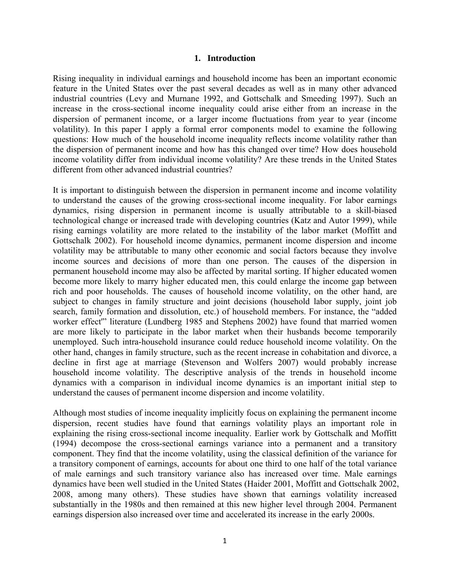#### **1. Introduction**

Rising inequality in individual earnings and household income has been an important economic feature in the United States over the past several decades as well as in many other advanced industrial countries (Levy and Murnane 1992, and Gottschalk and Smeeding 1997). Such an increase in the cross-sectional income inequality could arise either from an increase in the dispersion of permanent income, or a larger income fluctuations from year to year (income volatility). In this paper I apply a formal error components model to examine the following questions: How much of the household income inequality reflects income volatility rather than the dispersion of permanent income and how has this changed over time? How does household income volatility differ from individual income volatility? Are these trends in the United States different from other advanced industrial countries?

It is important to distinguish between the dispersion in permanent income and income volatility to understand the causes of the growing cross-sectional income inequality. For labor earnings dynamics, rising dispersion in permanent income is usually attributable to a skill-biased technological change or increased trade with developing countries (Katz and Autor 1999), while rising earnings volatility are more related to the instability of the labor market (Moffitt and Gottschalk 2002). For household income dynamics, permanent income dispersion and income volatility may be attributable to many other economic and social factors because they involve income sources and decisions of more than one person. The causes of the dispersion in permanent household income may also be affected by marital sorting. If higher educated women become more likely to marry higher educated men, this could enlarge the income gap between rich and poor households. The causes of household income volatility, on the other hand, are subject to changes in family structure and joint decisions (household labor supply, joint job search, family formation and dissolution, etc.) of household members. For instance, the "added worker effect'" literature (Lundberg 1985 and Stephens 2002) have found that married women are more likely to participate in the labor market when their husbands become temporarily unemployed. Such intra-household insurance could reduce household income volatility. On the other hand, changes in family structure, such as the recent increase in cohabitation and divorce, a decline in first age at marriage (Stevenson and Wolfers 2007) would probably increase household income volatility. The descriptive analysis of the trends in household income dynamics with a comparison in individual income dynamics is an important initial step to understand the causes of permanent income dispersion and income volatility.

Although most studies of income inequality implicitly focus on explaining the permanent income dispersion, recent studies have found that earnings volatility plays an important role in explaining the rising cross-sectional income inequality. Earlier work by Gottschalk and Moffitt (1994) decompose the cross-sectional earnings variance into a permanent and a transitory component. They find that the income volatility, using the classical definition of the variance for a transitory component of earnings, accounts for about one third to one half of the total variance of male earnings and such transitory variance also has increased over time. Male earnings dynamics have been well studied in the United States (Haider 2001, Moffitt and Gottschalk 2002, 2008, among many others). These studies have shown that earnings volatility increased substantially in the 1980s and then remained at this new higher level through 2004. Permanent earnings dispersion also increased over time and accelerated its increase in the early 2000s.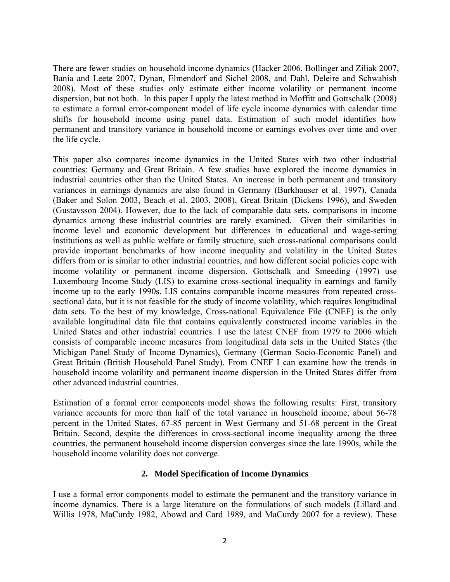There are fewer studies on household income dynamics (Hacker 2006, Bollinger and Ziliak 2007, Bania and Leete 2007, Dynan, Elmendorf and Sichel 2008, and Dahl, Deleire and Schwabish 2008). Most of these studies only estimate either income volatility or permanent income dispersion, but not both. In this paper I apply the latest method in Moffitt and Gottschalk (2008) to estimate a formal error-component model of life cycle income dynamics with calendar time shifts for household income using panel data. Estimation of such model identifies how permanent and transitory variance in household income or earnings evolves over time and over the life cycle.

This paper also compares income dynamics in the United States with two other industrial countries: Germany and Great Britain. A few studies have explored the income dynamics in industrial countries other than the United States. An increase in both permanent and transitory variances in earnings dynamics are also found in Germany (Burkhauser et al. 1997), Canada (Baker and Solon 2003, Beach et al. 2003, 2008), Great Britain (Dickens 1996), and Sweden (Gustavsson 2004). However, due to the lack of comparable data sets, comparisons in income dynamics among these industrial countries are rarely examined. Given their similarities in income level and economic development but differences in educational and wage-setting institutions as well as public welfare or family structure, such cross-national comparisons could provide important benchmarks of how income inequality and volatility in the United States differs from or is similar to other industrial countries, and how different social policies cope with income volatility or permanent income dispersion. Gottschalk and Smeeding (1997) use Luxembourg Income Study (LIS) to examine cross-sectional inequality in earnings and family income up to the early 1990s. LIS contains comparable income measures from repeated crosssectional data, but it is not feasible for the study of income volatility, which requires longitudinal data sets. To the best of my knowledge, Cross-national Equivalence File (CNEF) is the only available longitudinal data file that contains equivalently constructed income variables in the United States and other industrial countries. I use the latest CNEF from 1979 to 2006 which consists of comparable income measures from longitudinal data sets in the United States (the Michigan Panel Study of Income Dynamics), Germany (German Socio-Economic Panel) and Great Britain (British Household Panel Study). From CNEF I can examine how the trends in household income volatility and permanent income dispersion in the United States differ from other advanced industrial countries.

Estimation of a formal error components model shows the following results: First, transitory variance accounts for more than half of the total variance in household income, about 56-78 percent in the United States, 67-85 percent in West Germany and 51-68 percent in the Great Britain. Second, despite the differences in cross-sectional income inequality among the three countries, the permanent household income dispersion converges since the late 1990s, while the household income volatility does not converge.

#### **2. Model Specification of Income Dynamics**

I use a formal error components model to estimate the permanent and the transitory variance in income dynamics. There is a large literature on the formulations of such models (Lillard and Willis 1978, MaCurdy 1982, Abowd and Card 1989, and MaCurdy 2007 for a review). These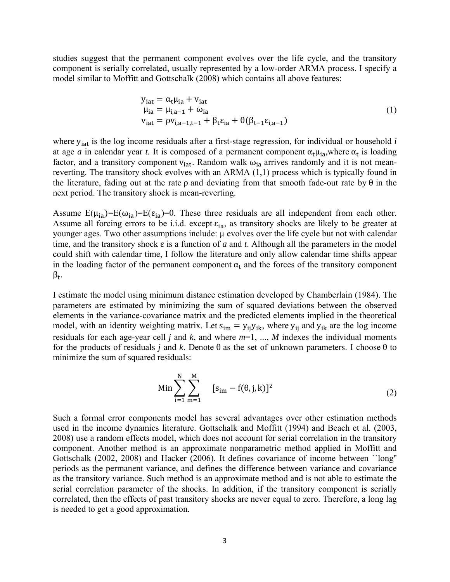studies suggest that the permanent component evolves over the life cycle, and the transitory component is serially correlated, usually represented by a low-order ARMA process. I specify a model similar to Moffitt and Gottschalk (2008) which contains all above features:

$$
y_{iat} = \alpha_t \mu_{ia} + v_{iat}
$$
  
\n
$$
\mu_{ia} = \mu_{i,a-1} + \omega_{ia}
$$
  
\n
$$
v_{iat} = \rho v_{i,a-1,t-1} + \beta_t \varepsilon_{ia} + \theta(\beta_{t-1} \varepsilon_{i,a-1})
$$
\n(1)

where y<sub>iat</sub> is the log income residuals after a first-stage regression, for individual or household *i* at age *a* in calendar year *t*. It is composed of a permanent component  $\alpha_t \mu_{ia}$ , where  $\alpha_t$  is loading factor, and a transitory component  $v_{\text{iat}}$ . Random walk  $\omega_{\text{ia}}$  arrives randomly and it is not meanreverting. The transitory shock evolves with an ARMA (1,1) process which is typically found in the literature, fading out at the rate  $\rho$  and deviating from that smooth fade-out rate by  $\theta$  in the next period. The transitory shock is mean-reverting.

Assume  $E(\mu_{ia})=E(\omega_{ia})=E(\epsilon_{ia})=0$ . These three residuals are all independent from each other. Assume all forcing errors to be i.i.d. except  $\varepsilon_{ia}$ , as transitory shocks are likely to be greater at younger ages. Two other assumptions include: µ evolves over the life cycle but not with calendar time, and the transitory shock ε is a function of *a* and *t*. Although all the parameters in the model could shift with calendar time, I follow the literature and only allow calendar time shifts appear in the loading factor of the permanent component  $\alpha_t$  and the forces of the transitory component  $\beta$ <sub>t</sub>.

I estimate the model using minimum distance estimation developed by Chamberlain (1984). The parameters are estimated by minimizing the sum of squared deviations between the observed elements in the variance-covariance matrix and the predicted elements implied in the theoretical model, with an identity weighting matrix. Let  $s_{im} = y_{ij}y_{ik}$ , where  $y_{ij}$  and  $y_{ik}$  are the log income residuals for each age-year cell *j* and *k*, and where *m*=1, ..., *M* indexes the individual moments for the products of residuals *j* and *k*. Denote θ as the set of unknown parameters. I choose θ to minimize the sum of squared residuals:

Min 
$$
\sum_{i=1}^{N} \sum_{m=1}^{M} [s_{im} - f(\theta, j, k)]^2
$$
 (2)

Such a formal error components model has several advantages over other estimation methods used in the income dynamics literature. Gottschalk and Moffitt (1994) and Beach et al. (2003, 2008) use a random effects model, which does not account for serial correlation in the transitory component. Another method is an approximate nonparametric method applied in Moffitt and Gottschalk (2002, 2008) and Hacker (2006). It defines covariance of income between ``long'' periods as the permanent variance, and defines the difference between variance and covariance as the transitory variance. Such method is an approximate method and is not able to estimate the serial correlation parameter of the shocks. In addition, if the transitory component is serially correlated, then the effects of past transitory shocks are never equal to zero. Therefore, a long lag is needed to get a good approximation.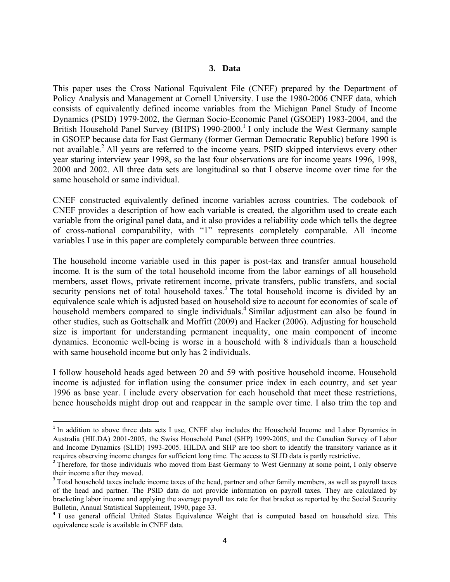#### **3. Data**

This paper uses the Cross National Equivalent File (CNEF) prepared by the Department of Policy Analysis and Management at Cornell University. I use the 1980-2006 CNEF data, which consists of equivalently defined income variables from the Michigan Panel Study of Income Dynamics (PSID) 1979-2002, the German Socio-Economic Panel (GSOEP) 1983-2004, and the British Household Panel Survey (BHPS) 1990-2000.<sup>1</sup> I only include the West Germany sample in GSOEP because data for East Germany (former German Democratic Republic) before 1990 is not available.<sup>2</sup> All years are referred to the income years. PSID skipped interviews every other year staring interview year 1998, so the last four observations are for income years 1996, 1998, 2000 and 2002. All three data sets are longitudinal so that I observe income over time for the same household or same individual.

CNEF constructed equivalently defined income variables across countries. The codebook of CNEF provides a description of how each variable is created, the algorithm used to create each variable from the original panel data, and it also provides a reliability code which tells the degree of cross-national comparability, with "1" represents completely comparable. All income variables I use in this paper are completely comparable between three countries.

The household income variable used in this paper is post-tax and transfer annual household income. It is the sum of the total household income from the labor earnings of all household members, asset flows, private retirement income, private transfers, public transfers, and social security pensions net of total household taxes.<sup>3</sup> The total household income is divided by an equivalence scale which is adjusted based on household size to account for economies of scale of household members compared to single individuals.<sup>4</sup> Similar adjustment can also be found in other studies, such as Gottschalk and Moffitt (2009) and Hacker (2006). Adjusting for household size is important for understanding permanent inequality, one main component of income dynamics. Economic well-being is worse in a household with 8 individuals than a household with same household income but only has 2 individuals.

I follow household heads aged between 20 and 59 with positive household income. Household income is adjusted for inflation using the consumer price index in each country, and set year 1996 as base year. I include every observation for each household that meet these restrictions, hence households might drop out and reappear in the sample over time. I also trim the top and

<sup>&</sup>lt;sup>1</sup> In addition to above three data sets I use, CNEF also includes the Household Income and Labor Dynamics in Australia (HILDA) 2001-2005, the Swiss Household Panel (SHP) 1999-2005, and the Canadian Survey of Labor and Income Dynamics (SLID) 1993-2005. HILDA and SHP are too short to identify the transitory variance as it requires observing income changes for sufficient long time. The access to SLID data is partly restrictive. <sup>2</sup> Therefore, for those individuals who moved from East Germany to West Germany at some point, I only observe

their income after they moved.

<sup>&</sup>lt;sup>3</sup> Total household taxes include income taxes of the head, partner and other family members, as well as payroll taxes of the head and partner. The PSID data do not provide information on payroll taxes. They are calculated by bracketing labor income and applying the average payroll tax rate for that bracket as reported by the Social Security Bulletin, Annual Statistical Supplement, 1990, page 33.

<sup>&</sup>lt;sup>4</sup> I use general official United States Equivalence Weight that is computed based on household size. This equivalence scale is available in CNEF data.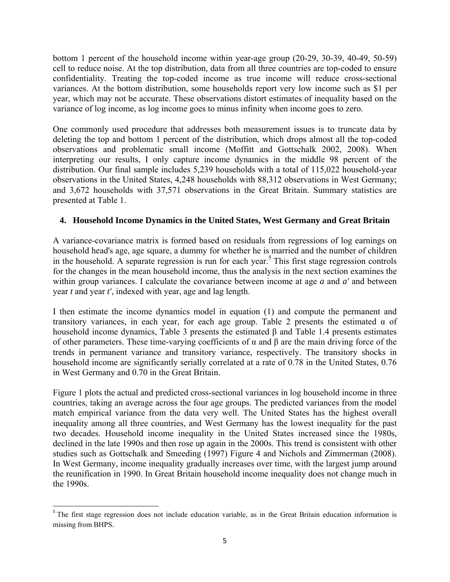bottom 1 percent of the household income within year-age group (20-29, 30-39, 40-49, 50-59) cell to reduce noise. At the top distribution, data from all three countries are top-coded to ensure confidentiality. Treating the top-coded income as true income will reduce cross-sectional variances. At the bottom distribution, some households report very low income such as \$1 per year, which may not be accurate. These observations distort estimates of inequality based on the variance of log income, as log income goes to minus infinity when income goes to zero.

One commonly used procedure that addresses both measurement issues is to truncate data by deleting the top and bottom 1 percent of the distribution, which drops almost all the top-coded observations and problematic small income (Moffitt and Gottschalk 2002, 2008). When interpreting our results, I only capture income dynamics in the middle 98 percent of the distribution. Our final sample includes 5,239 households with a total of 115,022 household-year observations in the United States, 4,248 households with 88,312 observations in West Germany; and 3,672 households with 37,571 observations in the Great Britain. Summary statistics are presented at Table 1.

## **4. Household Income Dynamics in the United States, West Germany and Great Britain**

A variance-covariance matrix is formed based on residuals from regressions of log earnings on household head's age, age square, a dummy for whether he is married and the number of children in the household. A separate regression is run for each year.<sup>5</sup> This first stage regression controls for the changes in the mean household income, thus the analysis in the next section examines the within group variances. I calculate the covariance between income at age *a* and *a'* and between year *t* and year *t'*, indexed with year, age and lag length.

I then estimate the income dynamics model in equation (1) and compute the permanent and transitory variances, in each year, for each age group. Table 2 presents the estimated α of household income dynamics, Table 3 presents the estimated β and Table 1.4 presents estimates of other parameters. These time-varying coefficients of  $\alpha$  and  $\beta$  are the main driving force of the trends in permanent variance and transitory variance, respectively. The transitory shocks in household income are significantly serially correlated at a rate of 0.78 in the United States, 0.76 in West Germany and 0.70 in the Great Britain.

Figure 1 plots the actual and predicted cross-sectional variances in log household income in three countries, taking an average across the four age groups. The predicted variances from the model match empirical variance from the data very well. The United States has the highest overall inequality among all three countries, and West Germany has the lowest inequality for the past two decades. Household income inequality in the United States increased since the 1980s, declined in the late 1990s and then rose up again in the 2000s. This trend is consistent with other studies such as Gottschalk and Smeeding (1997) Figure 4 and Nichols and Zimmerman (2008). In West Germany, income inequality gradually increases over time, with the largest jump around the reunification in 1990. In Great Britain household income inequality does not change much in the 1990s.

<sup>&</sup>lt;sup>5</sup> The first stage regression does not include education variable, as in the Great Britain education information is missing from BHPS.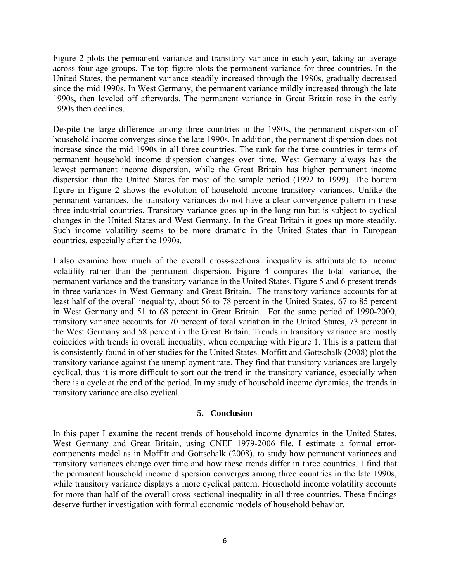Figure 2 plots the permanent variance and transitory variance in each year, taking an average across four age groups. The top figure plots the permanent variance for three countries. In the United States, the permanent variance steadily increased through the 1980s, gradually decreased since the mid 1990s. In West Germany, the permanent variance mildly increased through the late 1990s, then leveled off afterwards. The permanent variance in Great Britain rose in the early 1990s then declines.

Despite the large difference among three countries in the 1980s, the permanent dispersion of household income converges since the late 1990s. In addition, the permanent dispersion does not increase since the mid 1990s in all three countries. The rank for the three countries in terms of permanent household income dispersion changes over time. West Germany always has the lowest permanent income dispersion, while the Great Britain has higher permanent income dispersion than the United States for most of the sample period (1992 to 1999). The bottom figure in Figure 2 shows the evolution of household income transitory variances. Unlike the permanent variances, the transitory variances do not have a clear convergence pattern in these three industrial countries. Transitory variance goes up in the long run but is subject to cyclical changes in the United States and West Germany. In the Great Britain it goes up more steadily. Such income volatility seems to be more dramatic in the United States than in European countries, especially after the 1990s.

I also examine how much of the overall cross-sectional inequality is attributable to income volatility rather than the permanent dispersion. Figure 4 compares the total variance, the permanent variance and the transitory variance in the United States. Figure 5 and 6 present trends in three variances in West Germany and Great Britain. The transitory variance accounts for at least half of the overall inequality, about 56 to 78 percent in the United States, 67 to 85 percent in West Germany and 51 to 68 percent in Great Britain. For the same period of 1990-2000, transitory variance accounts for 70 percent of total variation in the United States, 73 percent in the West Germany and 58 percent in the Great Britain. Trends in transitory variance are mostly coincides with trends in overall inequality, when comparing with Figure 1. This is a pattern that is consistently found in other studies for the United States. Moffitt and Gottschalk (2008) plot the transitory variance against the unemployment rate. They find that transitory variances are largely cyclical, thus it is more difficult to sort out the trend in the transitory variance, especially when there is a cycle at the end of the period. In my study of household income dynamics, the trends in transitory variance are also cyclical.

#### **5. Conclusion**

In this paper I examine the recent trends of household income dynamics in the United States, West Germany and Great Britain, using CNEF 1979-2006 file. I estimate a formal errorcomponents model as in Moffitt and Gottschalk (2008), to study how permanent variances and transitory variances change over time and how these trends differ in three countries. I find that the permanent household income dispersion converges among three countries in the late 1990s, while transitory variance displays a more cyclical pattern. Household income volatility accounts for more than half of the overall cross-sectional inequality in all three countries. These findings deserve further investigation with formal economic models of household behavior.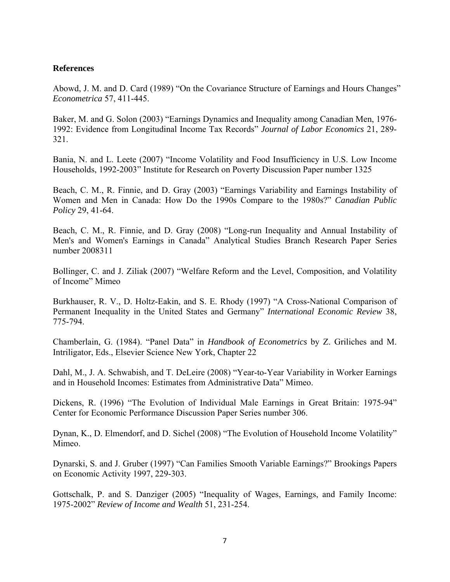### **References**

Abowd, J. M. and D. Card (1989) "On the Covariance Structure of Earnings and Hours Changes" *Econometrica* 57, 411-445.

Baker, M. and G. Solon (2003) "Earnings Dynamics and Inequality among Canadian Men, 1976- 1992: Evidence from Longitudinal Income Tax Records" *Journal of Labor Economics* 21, 289- 321.

Bania, N. and L. Leete (2007) "Income Volatility and Food Insufficiency in U.S. Low Income Households, 1992-2003" Institute for Research on Poverty Discussion Paper number 1325

Beach, C. M., R. Finnie, and D. Gray (2003) "Earnings Variability and Earnings Instability of Women and Men in Canada: How Do the 1990s Compare to the 1980s?" *Canadian Public Policy* 29, 41-64.

Beach, C. M., R. Finnie, and D. Gray (2008) "Long-run Inequality and Annual Instability of Men's and Women's Earnings in Canada" Analytical Studies Branch Research Paper Series number 2008311

Bollinger, C. and J. Ziliak (2007) "Welfare Reform and the Level, Composition, and Volatility of Income" Mimeo

Burkhauser, R. V., D. Holtz-Eakin, and S. E. Rhody (1997) "A Cross-National Comparison of Permanent Inequality in the United States and Germany" *International Economic Review* 38, 775-794.

Chamberlain, G. (1984). "Panel Data" in *Handbook of Econometrics* by Z. Griliches and M. Intriligator, Eds., Elsevier Science New York, Chapter 22

Dahl, M., J. A. Schwabish, and T. DeLeire (2008) "Year-to-Year Variability in Worker Earnings and in Household Incomes: Estimates from Administrative Data" Mimeo.

Dickens, R. (1996) "The Evolution of Individual Male Earnings in Great Britain: 1975-94" Center for Economic Performance Discussion Paper Series number 306.

Dynan, K., D. Elmendorf, and D. Sichel (2008) "The Evolution of Household Income Volatility" Mimeo.

Dynarski, S. and J. Gruber (1997) "Can Families Smooth Variable Earnings?" Brookings Papers on Economic Activity 1997, 229-303.

Gottschalk, P. and S. Danziger (2005) "Inequality of Wages, Earnings, and Family Income: 1975-2002" *Review of Income and Wealth* 51, 231-254.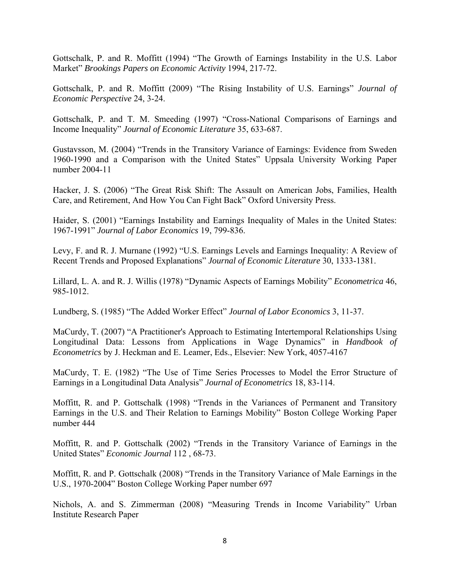Gottschalk, P. and R. Moffitt (1994) "The Growth of Earnings Instability in the U.S. Labor Market" *Brookings Papers on Economic Activity* 1994, 217-72.

Gottschalk, P. and R. Moffitt (2009) "The Rising Instability of U.S. Earnings" *Journal of Economic Perspective* 24, 3-24.

Gottschalk, P. and T. M. Smeeding (1997) "Cross-National Comparisons of Earnings and Income Inequality" *Journal of Economic Literature* 35, 633-687.

Gustavsson, M. (2004) "Trends in the Transitory Variance of Earnings: Evidence from Sweden 1960-1990 and a Comparison with the United States" Uppsala University Working Paper number 2004-11

Hacker, J. S. (2006) "The Great Risk Shift: The Assault on American Jobs, Families, Health Care, and Retirement, And How You Can Fight Back" Oxford University Press.

Haider, S. (2001) "Earnings Instability and Earnings Inequality of Males in the United States: 1967-1991" *Journal of Labor Economics* 19, 799-836.

Levy, F. and R. J. Murnane (1992) "U.S. Earnings Levels and Earnings Inequality: A Review of Recent Trends and Proposed Explanations" *Journal of Economic Literature* 30, 1333-1381.

Lillard, L. A. and R. J. Willis (1978) "Dynamic Aspects of Earnings Mobility" *Econometrica* 46, 985-1012.

Lundberg, S. (1985) "The Added Worker Effect" *Journal of Labor Economics* 3, 11-37.

MaCurdy, T. (2007) "A Practitioner's Approach to Estimating Intertemporal Relationships Using Longitudinal Data: Lessons from Applications in Wage Dynamics" in *Handbook of Econometrics* by J. Heckman and E. Leamer, Eds., Elsevier: New York, 4057-4167

MaCurdy, T. E. (1982) "The Use of Time Series Processes to Model the Error Structure of Earnings in a Longitudinal Data Analysis" *Journal of Econometrics* 18, 83-114.

Moffitt, R. and P. Gottschalk (1998) "Trends in the Variances of Permanent and Transitory Earnings in the U.S. and Their Relation to Earnings Mobility" Boston College Working Paper number 444

Moffitt, R. and P. Gottschalk (2002) "Trends in the Transitory Variance of Earnings in the United States" *Economic Journal* 112 , 68-73.

Moffitt, R. and P. Gottschalk (2008) "Trends in the Transitory Variance of Male Earnings in the U.S., 1970-2004" Boston College Working Paper number 697

Nichols, A. and S. Zimmerman (2008) "Measuring Trends in Income Variability" Urban Institute Research Paper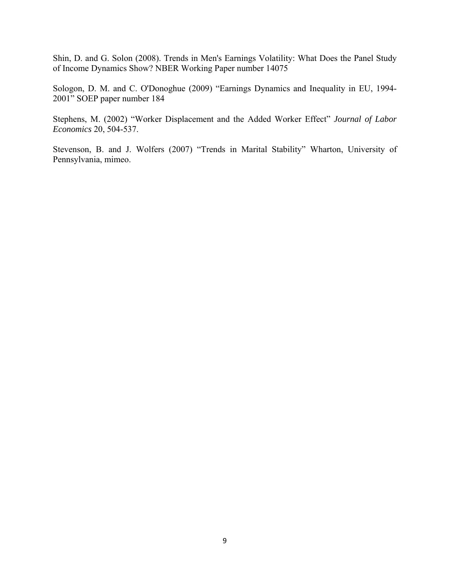Shin, D. and G. Solon (2008). Trends in Men's Earnings Volatility: What Does the Panel Study of Income Dynamics Show? NBER Working Paper number 14075

Sologon, D. M. and C. O'Donoghue (2009) "Earnings Dynamics and Inequality in EU, 1994- 2001" SOEP paper number 184

Stephens, M. (2002) "Worker Displacement and the Added Worker Effect" *Journal of Labor Economics* 20, 504-537.

Stevenson, B. and J. Wolfers (2007) "Trends in Marital Stability" Wharton, University of Pennsylvania, mimeo.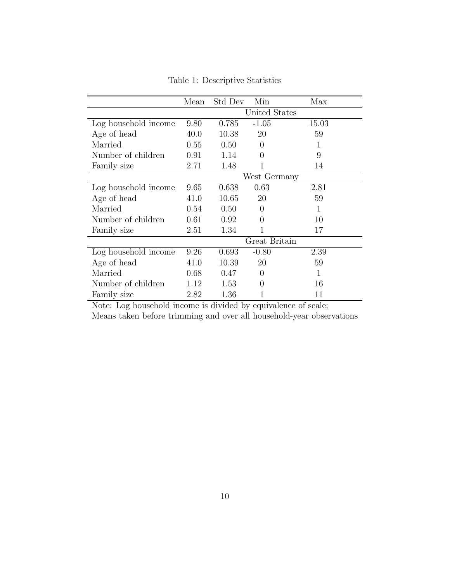|                      | Mean          | Std Dev | Min      | Max   |  |
|----------------------|---------------|---------|----------|-------|--|
|                      | United States |         |          |       |  |
| Log household income | 9.80          | 0.785   | $-1.05$  | 15.03 |  |
| Age of head          | 40.0          | 10.38   | 20       | 59    |  |
| Married              | 0.55          | 0.50    | $\theta$ | 1     |  |
| Number of children   | 0.91          | 1.14    | $\theta$ | 9     |  |
| Family size          | 2.71          | 1.48    | 1        | 14    |  |
|                      | West Germany  |         |          |       |  |
| Log household income | 9.65          | 0.638   | 0.63     | 2.81  |  |
| Age of head          | 41.0          | 10.65   | 20       | 59    |  |
| Married              | 0.54          | 0.50    | 0        | 1     |  |
| Number of children   | 0.61          | 0.92    | $\theta$ | 10    |  |
| Family size          | 2.51          | 1.34    | 1        | 17    |  |
|                      | Great Britain |         |          |       |  |
| Log household income | 9.26          | 0.693   | $-0.80$  | 2.39  |  |
| Age of head          | 41.0          | 10.39   | 20       | 59    |  |
| Married              | 0.68          | 0.47    | $\theta$ | 1     |  |
| Number of children   | 1.12          | 1.53    | 0        | 16    |  |
| Family size          | 2.82          | 1.36    |          | 11    |  |

Table 1: Descriptive Statistics

Note: Log household income is divided by equivalence of scale;

Means taken before trimming and over all household-year observations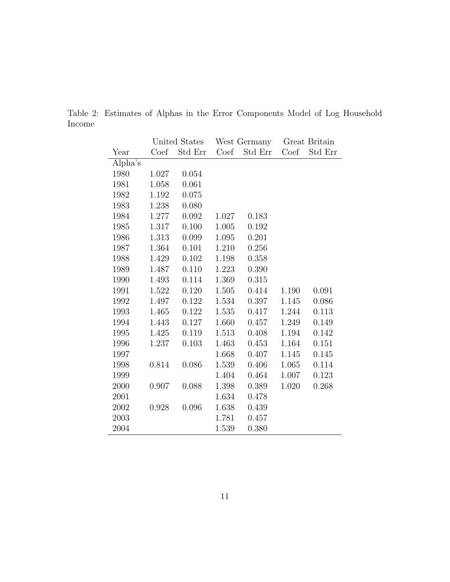|         |       | United States | West Germany |         | Great Britain |         |
|---------|-------|---------------|--------------|---------|---------------|---------|
| Year    | Coef  | Std Err       | Coef         | Std Err | Coef          | Std Err |
| Alpha's |       |               |              |         |               |         |
| 1980    | 1.027 | 0.054         |              |         |               |         |
| 1981    | 1.058 | 0.061         |              |         |               |         |
| 1982    | 1.192 | 0.075         |              |         |               |         |
| 1983    | 1.238 | 0.080         |              |         |               |         |
| 1984    | 1.277 | 0.092         | 1.027        | 0.183   |               |         |
| 1985    | 1.317 | 0.100         | 1.005        | 0.192   |               |         |
| 1986    | 1.313 | 0.099         | 1.095        | 0.201   |               |         |
| 1987    | 1.364 | 0.101         | 1.210        | 0.256   |               |         |
| 1988    | 1.429 | 0.102         | 1.198        | 0.358   |               |         |
| 1989    | 1.487 | 0.110         | 1.223        | 0.390   |               |         |
| 1990    | 1.493 | 0.114         | 1.369        | 0.315   |               |         |
| 1991    | 1.522 | 0.120         | 1.505        | 0.414   | 1.190         | 0.091   |
| 1992    | 1.497 | 0.122         | 1.534        | 0.397   | 1.145         | 0.086   |
| 1993    | 1.465 | 0.122         | 1.535        | 0.417   | 1.244         | 0.113   |
| 1994    | 1.443 | 0.127         | 1.660        | 0.457   | 1.249         | 0.149   |
| 1995    | 1.425 | 0.119         | 1.513        | 0.408   | 1.194         | 0.142   |
| 1996    | 1.237 | 0.103         | 1.463        | 0.453   | 1.164         | 0.151   |
| 1997    |       |               | 1.668        | 0.407   | 1.145         | 0.145   |
| 1998    | 0.814 | 0.086         | 1.539        | 0.406   | 1.065         | 0.114   |
| 1999    |       |               | 1.404        | 0.464   | 1.007         | 0.123   |
| 2000    | 0.907 | 0.088         | 1.398        | 0.389   | 1.020         | 0.268   |
| 2001    |       |               | 1.634        | 0.478   |               |         |
| 2002    | 0.928 | 0.096         | 1.638        | 0.439   |               |         |
| 2003    |       |               | 1.781        | 0.457   |               |         |
| 2004    |       |               | 1.539        | 0.380   |               |         |

Table 2: Estimates of Alphas in the Error Components Model of Log Household Income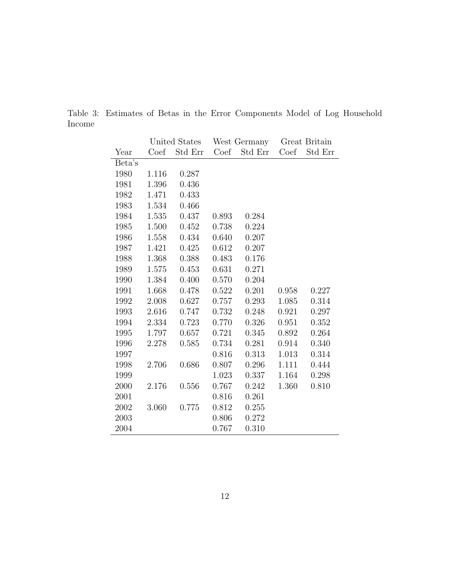|        |       | United States | West Germany |         | Great Britain |         |
|--------|-------|---------------|--------------|---------|---------------|---------|
| Year   | Coef  | Std Err       | Coef         | Std Err | Coef          | Std Err |
| Beta's |       |               |              |         |               |         |
| 1980   | 1.116 | 0.287         |              |         |               |         |
| 1981   | 1.396 | 0.436         |              |         |               |         |
| 1982   | 1.471 | 0.433         |              |         |               |         |
| 1983   | 1.534 | 0.466         |              |         |               |         |
| 1984   | 1.535 | 0.437         | 0.893        | 0.284   |               |         |
| 1985   | 1.500 | 0.452         | 0.738        | 0.224   |               |         |
| 1986   | 1.558 | 0.434         | 0.640        | 0.207   |               |         |
| 1987   | 1.421 | 0.425         | 0.612        | 0.207   |               |         |
| 1988   | 1.368 | 0.388         | 0.483        | 0.176   |               |         |
| 1989   | 1.575 | 0.453         | 0.631        | 0.271   |               |         |
| 1990   | 1.384 | 0.400         | 0.570        | 0.204   |               |         |
| 1991   | 1.668 | 0.478         | 0.522        | 0.201   | 0.958         | 0.227   |
| 1992   | 2.008 | 0.627         | 0.757        | 0.293   | 1.085         | 0.314   |
| 1993   | 2.616 | 0.747         | 0.732        | 0.248   | 0.921         | 0.297   |
| 1994   | 2.334 | 0.723         | 0.770        | 0.326   | 0.951         | 0.352   |
| 1995   | 1.797 | 0.657         | 0.721        | 0.345   | 0.892         | 0.264   |
| 1996   | 2.278 | 0.585         | 0.734        | 0.281   | 0.914         | 0.340   |
| 1997   |       |               | 0.816        | 0.313   | 1.013         | 0.314   |
| 1998   | 2.706 | 0.686         | 0.807        | 0.296   | 1.111         | 0.444   |
| 1999   |       |               | 1.023        | 0.337   | 1.164         | 0.298   |
| 2000   | 2.176 | 0.556         | 0.767        | 0.242   | 1.360         | 0.810   |
| 2001   |       |               | 0.816        | 0.261   |               |         |
| 2002   | 3.060 | 0.775         | 0.812        | 0.255   |               |         |
| 2003   |       |               | 0.806        | 0.272   |               |         |
| 2004   |       |               | 0.767        | 0.310   |               |         |

Table 3: Estimates of Betas in the Error Components Model of Log Household Income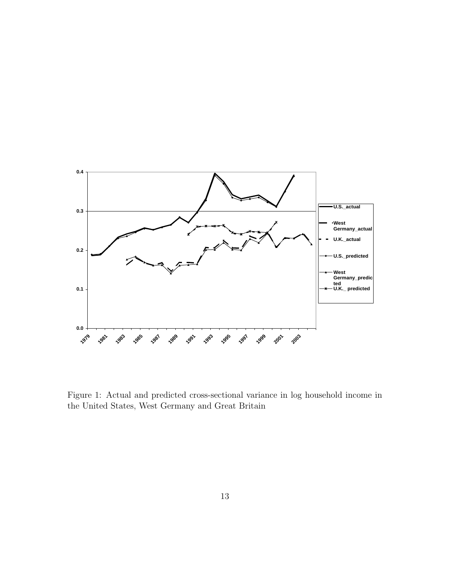

Figure 1: Actual and predicted cross-sectional variance in log household income in the United States, West Germany and Great Britain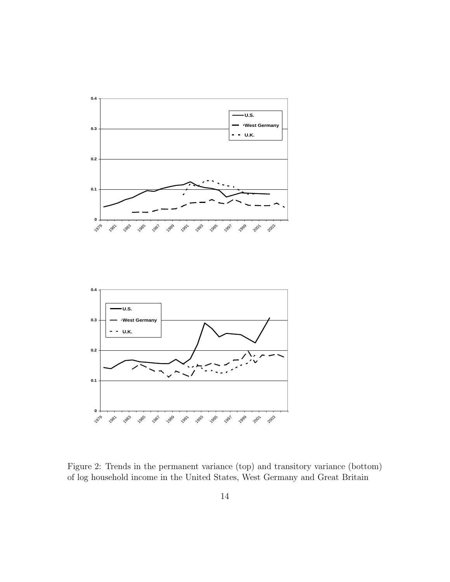

Figure 2: Trends in the permanent variance (top) and transitory variance (bottom) of log household income in the United States, West Germany and Great Britain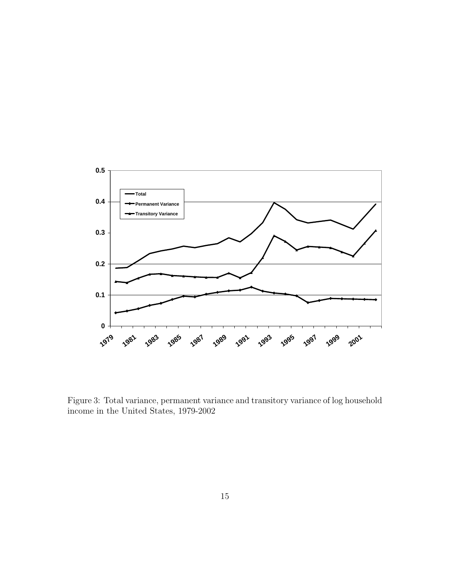

Figure 3: Total variance, permanent variance and transitory variance of log household income in the United States, 1979-2002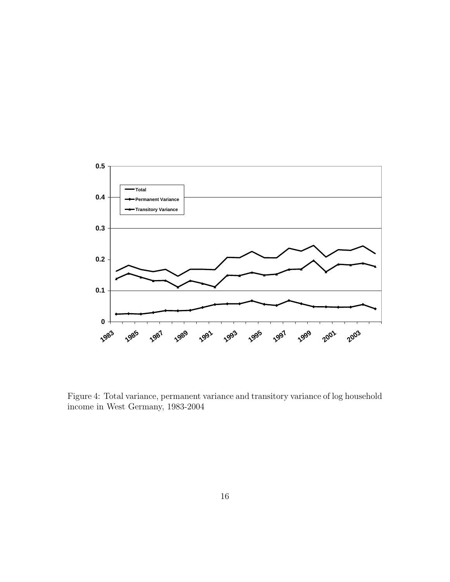

Figure 4: Total variance, permanent variance and transitory variance of log household income in West Germany, 1983-2004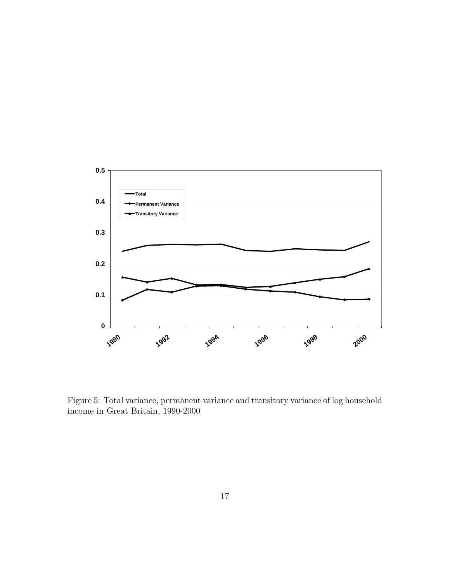

Figure 5: Total variance, permanent variance and transitory variance of log household income in Great Britain, 1990-2000